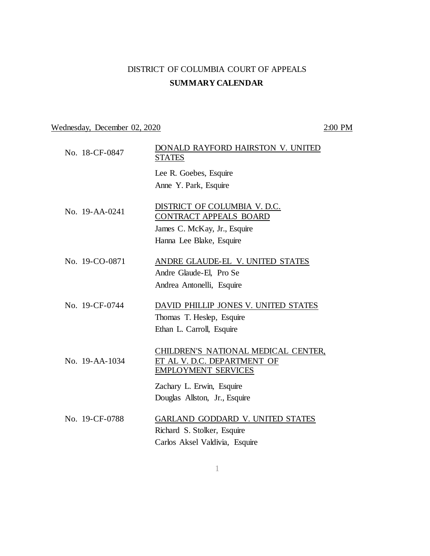## DISTRICT OF COLUMBIA COURT OF APPEALS **SUMMARY CALENDAR**

# Wednesday, December 02, 2020 2:00 PM

| No. 18-CF-0847 | DONALD RAYFORD HAIRSTON V. UNITED<br><b>STATES</b>                                               |
|----------------|--------------------------------------------------------------------------------------------------|
|                | Lee R. Goebes, Esquire                                                                           |
|                | Anne Y. Park, Esquire                                                                            |
| No. 19-AA-0241 | DISTRICT OF COLUMBIA V. D.C.<br>CONTRACT APPEALS BOARD                                           |
|                | James C. McKay, Jr., Esquire                                                                     |
|                | Hanna Lee Blake, Esquire                                                                         |
| No. 19-CO-0871 | ANDRE GLAUDE-EL V. UNITED STATES                                                                 |
|                | Andre Glaude-El, Pro Se                                                                          |
|                | Andrea Antonelli, Esquire                                                                        |
| No. 19-CF-0744 | DAVID PHILLIP JONES V. UNITED STATES<br>Thomas T. Heslep, Esquire                                |
|                | Ethan L. Carroll, Esquire                                                                        |
|                |                                                                                                  |
| No. 19-AA-1034 | CHILDREN'S NATIONAL MEDICAL CENTER,<br>ET AL V. D.C. DEPARTMENT OF<br><b>EMPLOYMENT SERVICES</b> |
|                | Zachary L. Erwin, Esquire                                                                        |
|                | Douglas Allston, Jr., Esquire                                                                    |
| No. 19-CF-0788 | GARLAND GODDARD V. UNITED STATES                                                                 |
|                | Richard S. Stolker, Esquire                                                                      |
|                | Carlos Aksel Valdivia, Esquire                                                                   |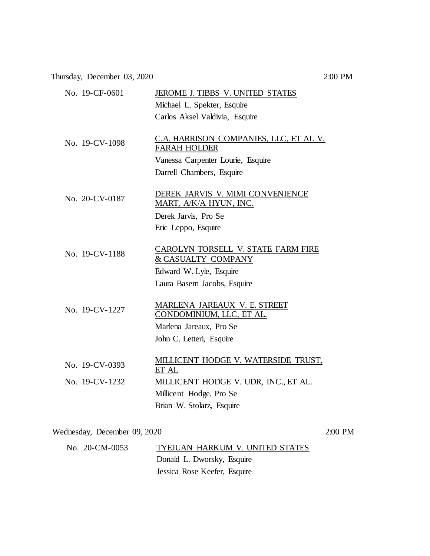Thursday, December 03, 2020 2:00 PM

| No. 19-CF-0601                   | JEROME J. TIBBS V. UNITED STATES<br>Michael L. Spekter, Esquire<br>Carlos Aksel Valdivia, Esquire                                            |
|----------------------------------|----------------------------------------------------------------------------------------------------------------------------------------------|
| No. 19-CV-1098                   | C.A. HARRISON COMPANIES, LLC, ET AL V.<br><b>FARAH HOLDER</b><br>Vanessa Carpenter Lourie, Esquire<br>Darrell Chambers, Esquire              |
| No. 20-CV-0187                   | DEREK JARVIS V. MIMI CONVENIENCE<br>MART, A/K/A HYUN, INC.<br>Derek Jarvis, Pro Se<br>Eric Leppo, Esquire                                    |
| No. 19-CV-1188                   | CAROLYN TORSELL V. STATE FARM FIRE<br>& CASUALTY COMPANY<br>Edward W. Lyle, Esquire<br>Laura Basem Jacobs, Esquire                           |
| No. 19-CV-1227                   | <b>MARLENA JAREAUX V. E. STREET</b><br>CONDOMINIUM, LLC, ET AL.<br>Marlena Jareaux, Pro Se<br>John C. Letteri, Esquire                       |
| No. 19-CV-0393<br>No. 19-CV-1232 | MILLICENT HODGE V. WATERSIDE TRUST,<br>ET AL<br>MILLICENT HODGE V. UDR, INC., ET AL.<br>Millicent Hodge, Pro Se<br>Brian W. Stolarz, Esquire |

#### Wednesday, December 09, 2020 2:00 PM

| No. 20-CM-0053 | TYEJUAN HARKUM V. UNITED STATES |
|----------------|---------------------------------|
|                | Donald L. Dworsky, Esquire      |
|                | Jessica Rose Keefer, Esquire    |